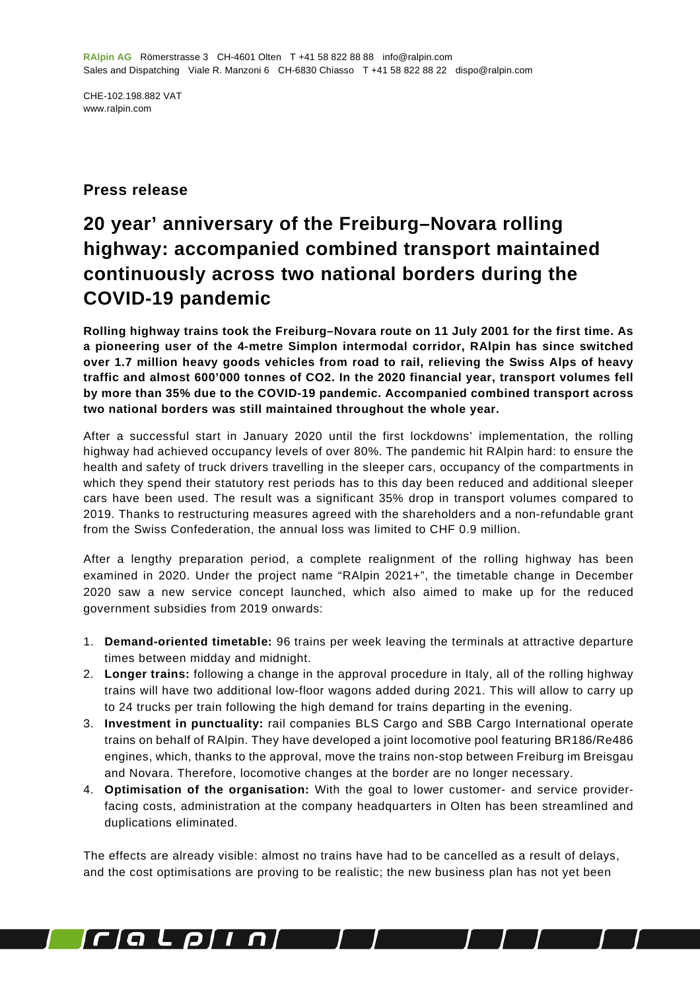CHE-102.198.882 VAT www.ralpin.com

## **Press release**

## **20 year' anniversary of the Freiburg–Novara rolling highway: accompanied combined transport maintained continuously across two national borders during the COVID-19 pandemic**

**Rolling highway trains took the Freiburg–Novara route on 11 July 2001 for the first time. As a pioneering user of the 4-metre Simplon intermodal corridor, RAlpin has since switched over 1.7 million heavy goods vehicles from road to rail, relieving the Swiss Alps of heavy traffic and almost 600'000 tonnes of CO2. In the 2020 financial year, transport volumes fell by more than 35% due to the COVID-19 pandemic. Accompanied combined transport across two national borders was still maintained throughout the whole year.**

After a successful start in January 2020 until the first lockdowns' implementation, the rolling highway had achieved occupancy levels of over 80%. The pandemic hit RAlpin hard: to ensure the health and safety of truck drivers travelling in the sleeper cars, occupancy of the compartments in which they spend their statutory rest periods has to this day been reduced and additional sleeper cars have been used. The result was a significant 35% drop in transport volumes compared to 2019. Thanks to restructuring measures agreed with the shareholders and a non-refundable grant from the Swiss Confederation, the annual loss was limited to CHF 0.9 million.

After a lengthy preparation period, a complete realignment of the rolling highway has been examined in 2020. Under the project name "RAlpin 2021+", the timetable change in December 2020 saw a new service concept launched, which also aimed to make up for the reduced government subsidies from 2019 onwards:

- 1. **Demand-oriented timetable:** 96 trains per week leaving the terminals at attractive departure times between midday and midnight.
- 2. **Longer trains:** following a change in the approval procedure in Italy, all of the rolling highway trains will have two additional low-floor wagons added during 2021. This will allow to carry up to 24 trucks per train following the high demand for trains departing in the evening.
- 3. **Investment in punctuality:** rail companies BLS Cargo and SBB Cargo International operate trains on behalf of RAlpin. They have developed a joint locomotive pool featuring BR186/Re486 engines, which, thanks to the approval, move the trains non-stop between Freiburg im Breisgau and Novara. Therefore, locomotive changes at the border are no longer necessary.
- 4. **Optimisation of the organisation:** With the goal to lower customer- and service providerfacing costs, administration at the company headquarters in Olten has been streamlined and duplications eliminated.

The effects are already visible: almost no trains have had to be cancelled as a result of delays, and the cost optimisations are proving to be realistic; the new business plan has not yet been

I

ן ןחון קוחן ה